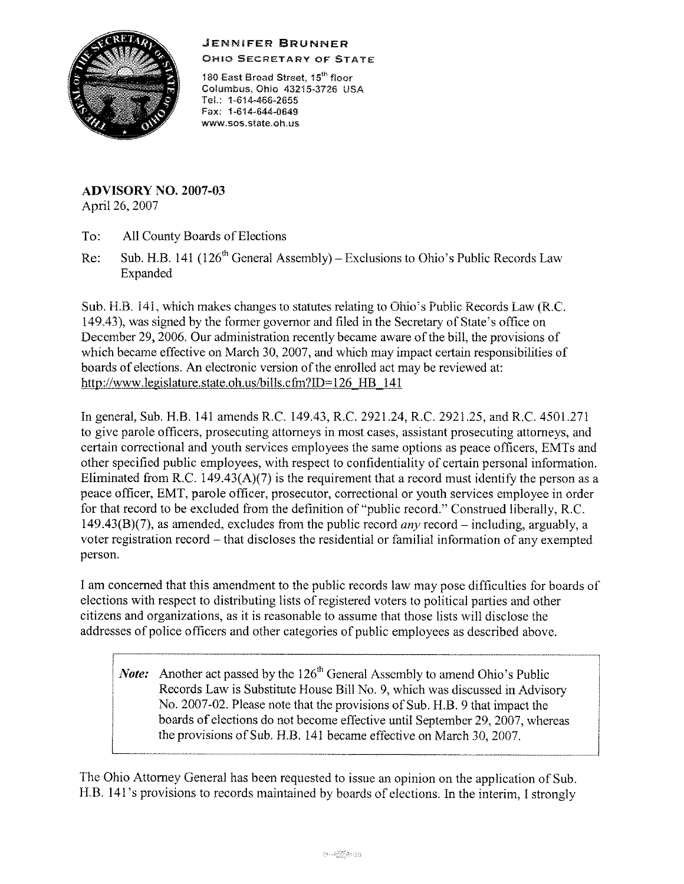## JENNIFER BRUNNER



OHIO SECRETARY OF STATE

180 East Broad Street, 15<sup>th</sup> floor Columbus, Ohio 43215-3726 USA Tel.: 1-614-466-2655 Fax: 1-614-644-0649 **www.sos.state.oh.us** 

**ADVISORY NO.** 2007-03 April 26, 2007

To: All County Boards of Elections

Re: Sub. H.B. 141 (126<sup>th</sup> General Assembly) - Exclusions to Ohio's Public Records Law Expanded

Sub. H.B. 141, which makes changes to statutes relating to Ohio's Public Records Law (R.C. 149.43), was signed by the former governor and filed in the Secretary of State's office on December 29, 2006. Our administration recently became aware of the bill, the provisions of which became effective on March 30, 2007, and which may impact certain responsibilities of boards of elections. An electronic version of the enrolled act may be reviewed at: http://www.legislature.state.oh.us/bills.cfm?ID=126 HB 141

In general, Sub. H.B. 141 amends R.C. 149.43, R.C. 2921.24, R.C. 2921.25, and R.C. 4501.271 to give parole officers, prosecuting attorneys in most cases, assistant prosecuting attorneys, and certain correctional and youth services employees the same options as peace officers, EMTs and other specified public employees, with respect to confidentiality of certain personal information. Eliminated from R.C. 149.43(A)(7) is the requirement that a record must identify the person as a peace officer, EMT, parole officer, prosecutor, correctional or youth services employee in order for that record to be excluded from the definition of"public record." Construed liberally, R.C. 149.43(B)(7), as amended, excludes from the public record *any* record – including, arguably, a voter registration record - that discloses the residential or familial information of any exempted person.

I am concerned that this amendment to the public records law may pose difficulties for boards of elections with respect to distributing lists of registered voters to political parties and other citizens and organizations, as it is reasonable to assume that those lists will disclose the addresses of police officers and other categories of public employees as described above.

*Note:* Another act passed by the 126<sup>th</sup> General Assembly to amend Ohio's Public Records Law is Substitute House Bill No. 9, which was discussed in Advisory No. 2007-02. Please note that the provisions of Sub. H.B. 9 that impact the boards of elections do not become effective until September 29, 2007, whereas the provisions of Sub. H.B. 141 became effective on March 30, 2007.

The Ohio Attorney General has been requested to issue an opinion on the application of Sub. H.B. 141 's provisions to records maintained by boards of elections. In the interim, I strongly